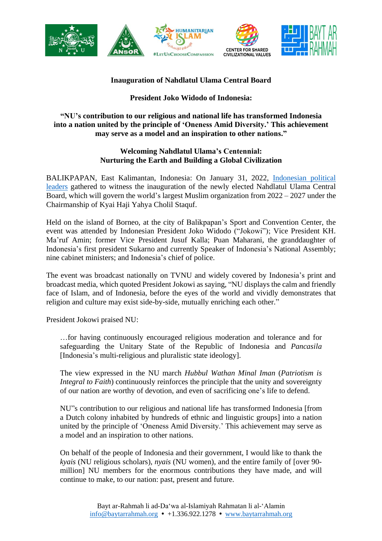

## **Inauguration of Nahdlatul Ulama Central Board**

## **President Joko Widodo of Indonesia:**

## **"NU's contribution to our religious and national life has transformed Indonesia into a nation united by the principle of 'Oneness Amid Diversity.' This achievement may serve as a model and an inspiration to other nations."**

## **Welcoming Nahdlatul Ulama's Centennial: Nurturing the Earth and Building a Global Civilization**

BALIKPAPAN, East Kalimantan, Indonesia: On January 31, 2022, [Indonesian](https://www.baytarrahmah.org/media/2022/MENAFN_Politics-and-Islam-in-potent-new-mix-in-Indonesia_01-26-22.pdf) political [leaders](https://www.baytarrahmah.org/media/2022/MENAFN_Politics-and-Islam-in-potent-new-mix-in-Indonesia_01-26-22.pdf) gathered to witness the inauguration of the newly elected Nahdlatul Ulama Central Board, which will govern the world's largest Muslim organization from 2022 – 2027 under the Chairmanship of Kyai Haji Yahya Cholil Staquf.

Held on the island of Borneo, at the city of Balikpapan's Sport and Convention Center, the event was attended by Indonesian President Joko Widodo ("Jokowi"); Vice President KH. Ma'ruf Amin; former Vice President Jusuf Kalla; Puan Maharani, the granddaughter of Indonesia's first president Sukarno and currently Speaker of Indonesia's National Assembly; nine cabinet ministers; and Indonesia's chief of police.

The event was broadcast nationally on TVNU and widely covered by Indonesia's print and broadcast media, which quoted President Jokowi as saying, "NU displays the calm and friendly face of Islam, and of Indonesia, before the eyes of the world and vividly demonstrates that religion and culture may exist side-by-side, mutually enriching each other."

President Jokowi praised NU:

…for having continuously encouraged religious moderation and tolerance and for safeguarding the Unitary State of the Republic of Indonesia and *Pancasila* [Indonesia's multi-religious and pluralistic state ideology].

The view expressed in the NU march *Hubbul Wathan Minal Iman* (*Patriotism is Integral to Faith*) continuously reinforces the principle that the unity and sovereignty of our nation are worthy of devotion, and even of sacrificing one's life to defend.

NU"s contribution to our religious and national life has transformed Indonesia [from a Dutch colony inhabited by hundreds of ethnic and linguistic groups] into a nation united by the principle of 'Oneness Amid Diversity.' This achievement may serve as a model and an inspiration to other nations.

On behalf of the people of Indonesia and their government, I would like to thank the *kyais* (NU religious scholars), *nyais* (NU women), and the entire family of [over 90 million] NU members for the enormous contributions they have made, and will continue to make, to our nation: past, present and future.